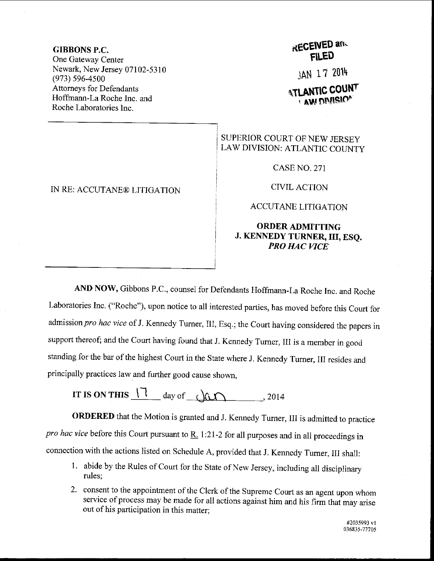#### GIBBONS P.C.

One Gateway Center Newark, New Jersey 07102-5310 (973) s96-4s00 Attorneys for Defendants Hoffmann-La Roche Inc. and Roche Laboratories Inc.

IN RE: ACCUTANE@ LITIGATION

# **RECEIVED and** FLED

JAN 17 2014

## **ATLANTIC COUNT R AW DIVISIOF**

#### SUPERIOR COURT OF NEW JERSEY LAW DIVISION: ATLANTIC COUNTY

CASE NO. 271

CIVIL ACTION

### ACCUTANE LITIGATION

#### ORDERADMITTING J. KENNEDY TURNER, III, ESQ. PRO HAC VICE

AND NOW, Gibbons P.C., counsel for Defendants Hoffmann-La Roche Inc. and Roche Laboratories Inc. ("Roche"), upon notice to all interested parties, has moved before this Court for admission pro hac vice of J. Kennedy Turner, III, Esq.; the Court having considered the papers in support thereof; and the court having found that J. Kennedy Tumer, III is a member in good standing for the bar of the highest Court in the State where J. Kennedy Turner, III resides and principally practices law and further good cause shown.

IT IS ON THIS  $17$  day of  $\alpha$ 

ORDERED that the Motion is granted and J. Kennedy Tumer, III is admitted to practice pro hac vice before this Court pursuant to  $\underline{R}$ . 1:21-2 for all purposes and in all proceedings in connection with the actions listed on Schedule A, provided that J. Kemedy Tumer, III shall:

- l. abide by the Rules of courl for the State of New Jersey, including all disciplinary rules;
- 2. consent to the appointment of the Clerk of the Supreme Court as an agent upon whom service of process may be made for all actions against him and his firm that may arise out of his participation in this matter;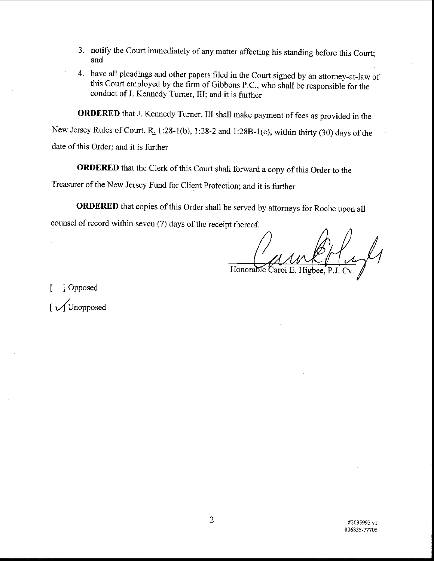- 3. notify the Court immediately of any matter affecting his standing before this Court; and
- 4. have all pleadings and other papers filed in the Court signed by an attorney-at-law of this court employed by the firm of Gibbons p.c., who shall be responsible for the conduct of J. Kennedy Turner, III; and it is further

oRDERED that J. Kennedy Turner, III shall make payment of fees as provided in the New Jersey Rules of Court, R. 1:28-1(b), 1:28-2 and 1:28B-1(e), within thirty (30) days of the date of this Order; and it is further

ORDERED that the clerk of this court shall forward a copy of this order to the

Treasurer of the New Jersey Fund for Client Protection; and it is further

ORDERED that copies of this Order shall be served by attorneys for Roche upon all

counsel of record within seven (7) days of the receipt thereof.

Honorable Carol E. Highee

[ ] Opposed I y/Unopposed